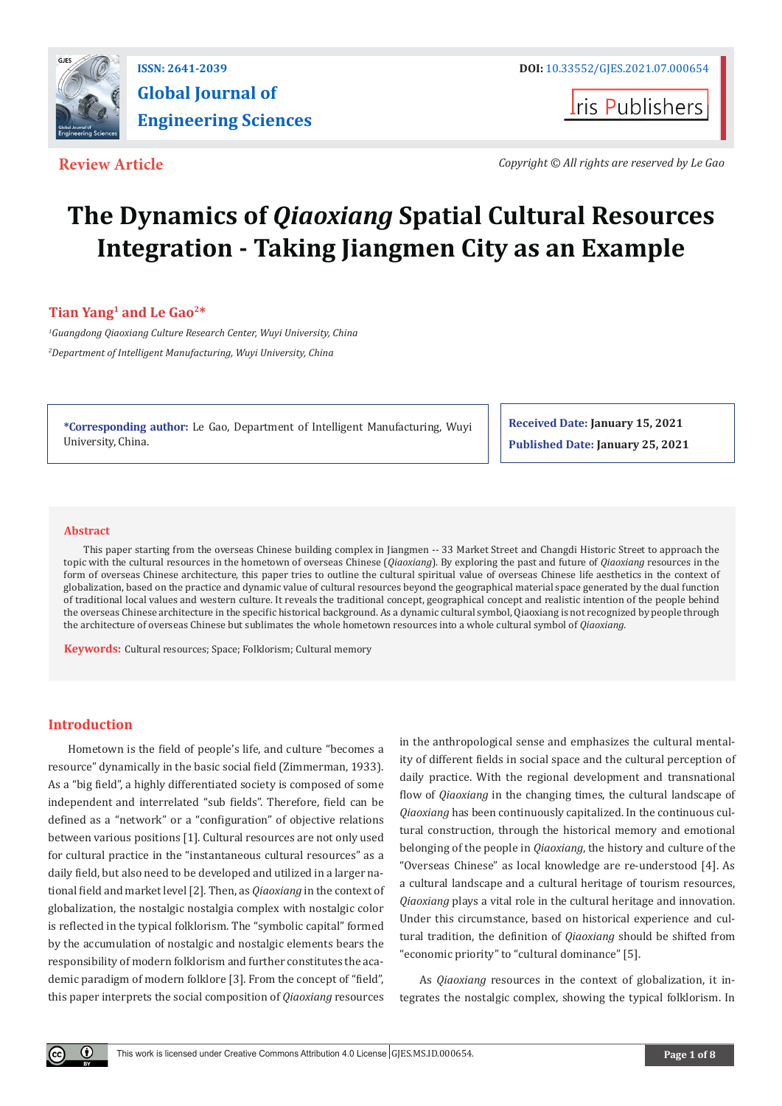

**I**ris Publishers

**Review Article** *Copyright © All rights are reserved by Le Gao*

# **The Dynamics of** *Qiaoxiang* **Spatial Cultural Resources Integration - Taking Jiangmen City as an Example**

# **Tian Yang1 and Le Gao2\***

*1 Guangdong Qiaoxiang Culture Research Center, Wuyi University, China 2 Department of Intelligent Manufacturing, Wuyi University, China*

**\*Corresponding author:** Le Gao, Department of Intelligent Manufacturing, Wuyi University, China.

**Received Date: January 15, 2021 Published Date: January 25, 2021**

#### **Abstract**

This paper starting from the overseas Chinese building complex in Jiangmen -- 33 Market Street and Changdi Historic Street to approach the topic with the cultural resources in the hometown of overseas Chinese (*Qiaoxiang*). By exploring the past and future of *Qiaoxiang* resources in the form of overseas Chinese architecture, this paper tries to outline the cultural spiritual value of overseas Chinese life aesthetics in the context of globalization, based on the practice and dynamic value of cultural resources beyond the geographical material space generated by the dual function of traditional local values and western culture. It reveals the traditional concept, geographical concept and realistic intention of the people behind the overseas Chinese architecture in the specific historical background. As a dynamic cultural symbol, Qiaoxiang is not recognized by people through the architecture of overseas Chinese but sublimates the whole hometown resources into a whole cultural symbol of *Qiaoxiang.*

**Keywords:** Cultural resources; Space; Folklorism; Cultural memory

# **Introduction**

 $\left( \mathbf{r} \right)$ 

Hometown is the field of people's life, and culture "becomes a resource" dynamically in the basic social field (Zimmerman, 1933). As a "big field", a highly differentiated society is composed of some independent and interrelated "sub fields". Therefore, field can be defined as a "network" or a "configuration" of objective relations between various positions [1]. Cultural resources are not only used for cultural practice in the "instantaneous cultural resources" as a daily field, but also need to be developed and utilized in a larger national field and market level [2]. Then, as *Qiaoxiang* in the context of globalization, the nostalgic nostalgia complex with nostalgic color is reflected in the typical folklorism. The "symbolic capital" formed by the accumulation of nostalgic and nostalgic elements bears the responsibility of modern folklorism and further constitutes the academic paradigm of modern folklore [3]. From the concept of "field", this paper interprets the social composition of *Qiaoxiang* resources in the anthropological sense and emphasizes the cultural mentality of different fields in social space and the cultural perception of daily practice. With the regional development and transnational flow of *Qiaoxiang* in the changing times, the cultural landscape of *Qiaoxiang* has been continuously capitalized. In the continuous cultural construction, through the historical memory and emotional belonging of the people in *Qiaoxiang*, the history and culture of the "Overseas Chinese" as local knowledge are re-understood [4]. As a cultural landscape and a cultural heritage of tourism resources, *Qiaoxiang* plays a vital role in the cultural heritage and innovation. Under this circumstance, based on historical experience and cultural tradition, the definition of *Qiaoxiang* should be shifted from "economic priority" to "cultural dominance" [5].

As *Qiaoxiang* resources in the context of globalization, it integrates the nostalgic complex, showing the typical folklorism. In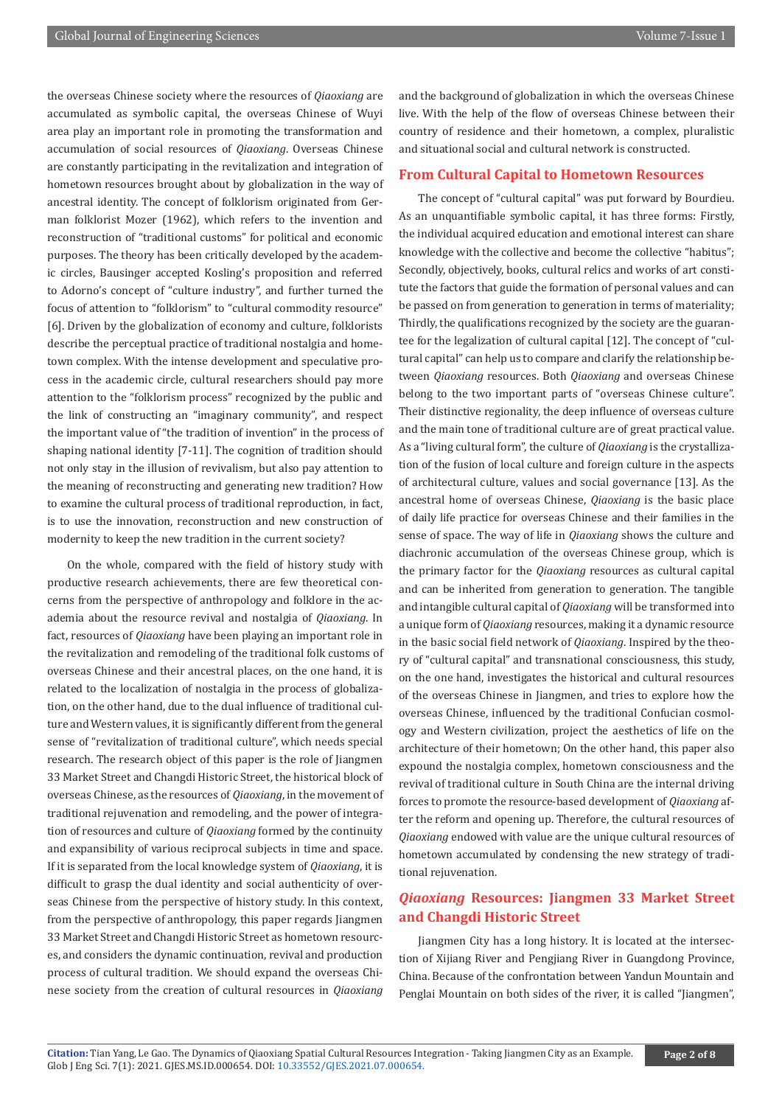the overseas Chinese society where the resources of *Qiaoxiang* are accumulated as symbolic capital, the overseas Chinese of Wuyi area play an important role in promoting the transformation and accumulation of social resources of *Qiaoxiang*. Overseas Chinese are constantly participating in the revitalization and integration of hometown resources brought about by globalization in the way of ancestral identity. The concept of folklorism originated from German folklorist Mozer (1962), which refers to the invention and reconstruction of "traditional customs" for political and economic purposes. The theory has been critically developed by the academic circles, Bausinger accepted Kosling's proposition and referred to Adorno's concept of "culture industry", and further turned the focus of attention to "folklorism" to "cultural commodity resource" [6]. Driven by the globalization of economy and culture, folklorists describe the perceptual practice of traditional nostalgia and hometown complex. With the intense development and speculative process in the academic circle, cultural researchers should pay more attention to the "folklorism process" recognized by the public and the link of constructing an "imaginary community", and respect the important value of "the tradition of invention" in the process of shaping national identity [7-11]. The cognition of tradition should not only stay in the illusion of revivalism, but also pay attention to the meaning of reconstructing and generating new tradition? How to examine the cultural process of traditional reproduction, in fact, is to use the innovation, reconstruction and new construction of modernity to keep the new tradition in the current society?

On the whole, compared with the field of history study with productive research achievements, there are few theoretical concerns from the perspective of anthropology and folklore in the academia about the resource revival and nostalgia of *Qiaoxiang*. In fact, resources of *Qiaoxiang* have been playing an important role in the revitalization and remodeling of the traditional folk customs of overseas Chinese and their ancestral places, on the one hand, it is related to the localization of nostalgia in the process of globalization, on the other hand, due to the dual influence of traditional culture and Western values, it is significantly different from the general sense of "revitalization of traditional culture", which needs special research. The research object of this paper is the role of Jiangmen 33 Market Street and Changdi Historic Street, the historical block of overseas Chinese, as the resources of *Qiaoxiang*, in the movement of traditional rejuvenation and remodeling, and the power of integration of resources and culture of *Qiaoxiang* formed by the continuity and expansibility of various reciprocal subjects in time and space. If it is separated from the local knowledge system of *Qiaoxiang*, it is difficult to grasp the dual identity and social authenticity of overseas Chinese from the perspective of history study. In this context, from the perspective of anthropology, this paper regards Jiangmen 33 Market Street and Changdi Historic Street as hometown resources, and considers the dynamic continuation, revival and production process of cultural tradition. We should expand the overseas Chinese society from the creation of cultural resources in *Qiaoxiang*

and the background of globalization in which the overseas Chinese live. With the help of the flow of overseas Chinese between their country of residence and their hometown, a complex, pluralistic and situational social and cultural network is constructed.

#### **From Cultural Capital to Hometown Resources**

The concept of "cultural capital" was put forward by Bourdieu. As an unquantifiable symbolic capital, it has three forms: Firstly, the individual acquired education and emotional interest can share knowledge with the collective and become the collective "habitus"; Secondly, objectively, books, cultural relics and works of art constitute the factors that guide the formation of personal values and can be passed on from generation to generation in terms of materiality; Thirdly, the qualifications recognized by the society are the guarantee for the legalization of cultural capital [12]. The concept of "cultural capital" can help us to compare and clarify the relationship between *Qiaoxiang* resources. Both *Qiaoxiang* and overseas Chinese belong to the two important parts of "overseas Chinese culture". Their distinctive regionality, the deep influence of overseas culture and the main tone of traditional culture are of great practical value. As a "living cultural form", the culture of *Qiaoxiang* is the crystallization of the fusion of local culture and foreign culture in the aspects of architectural culture, values and social governance [13]. As the ancestral home of overseas Chinese, *Qiaoxiang* is the basic place of daily life practice for overseas Chinese and their families in the sense of space. The way of life in *Qiaoxiang* shows the culture and diachronic accumulation of the overseas Chinese group, which is the primary factor for the *Qiaoxiang* resources as cultural capital and can be inherited from generation to generation. The tangible and intangible cultural capital of *Qiaoxiang* will be transformed into a unique form of *Qiaoxiang* resources, making it a dynamic resource in the basic social field network of *Qiaoxiang*. Inspired by the theory of "cultural capital" and transnational consciousness, this study, on the one hand, investigates the historical and cultural resources of the overseas Chinese in Jiangmen, and tries to explore how the overseas Chinese, influenced by the traditional Confucian cosmology and Western civilization, project the aesthetics of life on the architecture of their hometown; On the other hand, this paper also expound the nostalgia complex, hometown consciousness and the revival of traditional culture in South China are the internal driving forces to promote the resource-based development of *Qiaoxiang* after the reform and opening up. Therefore, the cultural resources of *Qiaoxiang* endowed with value are the unique cultural resources of hometown accumulated by condensing the new strategy of traditional rejuvenation.

# *Qiaoxiang* **Resources: Jiangmen 33 Market Street and Changdi Historic Street**

Jiangmen City has a long history. It is located at the intersection of Xijiang River and Pengjiang River in Guangdong Province, China. Because of the confrontation between Yandun Mountain and Penglai Mountain on both sides of the river, it is called "Jiangmen",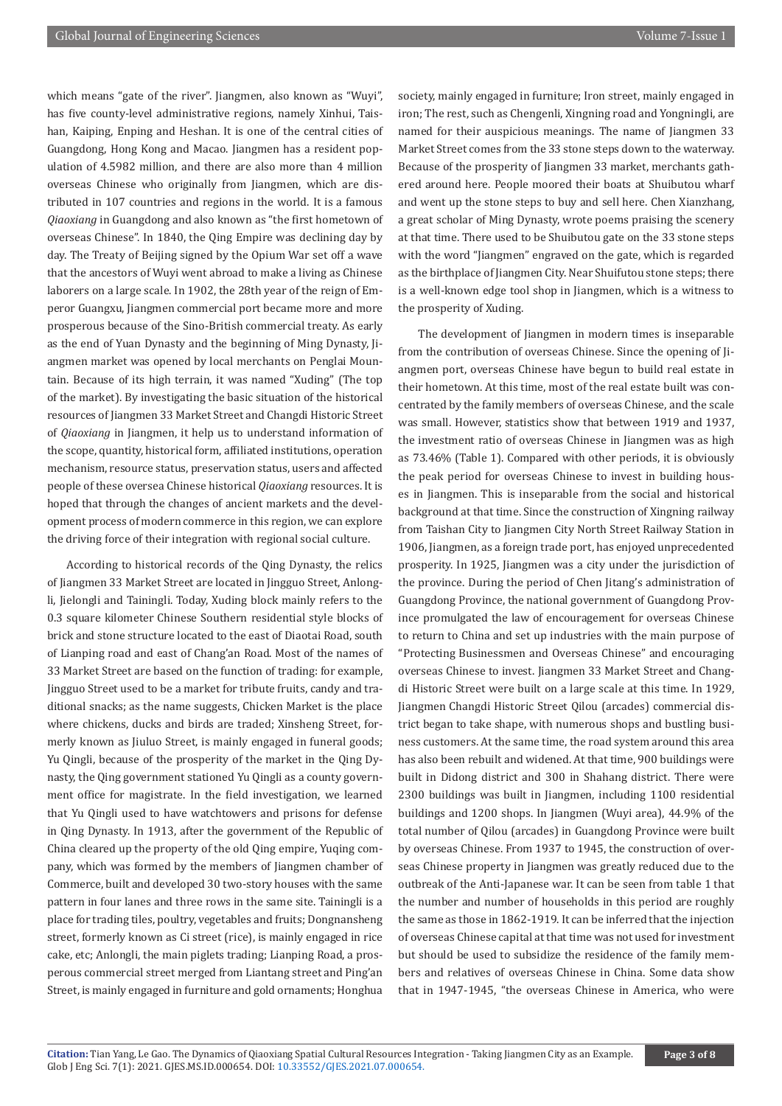which means "gate of the river". Jiangmen, also known as "Wuyi", has five county-level administrative regions, namely Xinhui, Taishan, Kaiping, Enping and Heshan. It is one of the central cities of Guangdong, Hong Kong and Macao. Jiangmen has a resident population of 4.5982 million, and there are also more than 4 million overseas Chinese who originally from Jiangmen, which are distributed in 107 countries and regions in the world. It is a famous *Qiaoxiang* in Guangdong and also known as "the first hometown of overseas Chinese". In 1840, the Qing Empire was declining day by day. The Treaty of Beijing signed by the Opium War set off a wave that the ancestors of Wuyi went abroad to make a living as Chinese laborers on a large scale. In 1902, the 28th year of the reign of Emperor Guangxu, Jiangmen commercial port became more and more prosperous because of the Sino-British commercial treaty. As early as the end of Yuan Dynasty and the beginning of Ming Dynasty, Jiangmen market was opened by local merchants on Penglai Mountain. Because of its high terrain, it was named "Xuding" (The top of the market). By investigating the basic situation of the historical resources of Jiangmen 33 Market Street and Changdi Historic Street of *Qiaoxiang* in Jiangmen, it help us to understand information of the scope, quantity, historical form, affiliated institutions, operation mechanism, resource status, preservation status, users and affected people of these oversea Chinese historical *Qiaoxiang* resources. It is hoped that through the changes of ancient markets and the development process of modern commerce in this region, we can explore the driving force of their integration with regional social culture.

According to historical records of the Qing Dynasty, the relics of Jiangmen 33 Market Street are located in Jingguo Street, Anlongli, Jielongli and Tainingli. Today, Xuding block mainly refers to the 0.3 square kilometer Chinese Southern residential style blocks of brick and stone structure located to the east of Diaotai Road, south of Lianping road and east of Chang'an Road. Most of the names of 33 Market Street are based on the function of trading: for example, Jingguo Street used to be a market for tribute fruits, candy and traditional snacks; as the name suggests, Chicken Market is the place where chickens, ducks and birds are traded; Xinsheng Street, formerly known as Jiuluo Street, is mainly engaged in funeral goods; Yu Qingli, because of the prosperity of the market in the Qing Dynasty, the Qing government stationed Yu Qingli as a county government office for magistrate. In the field investigation, we learned that Yu Qingli used to have watchtowers and prisons for defense in Qing Dynasty. In 1913, after the government of the Republic of China cleared up the property of the old Qing empire, Yuqing company, which was formed by the members of Jiangmen chamber of Commerce, built and developed 30 two-story houses with the same pattern in four lanes and three rows in the same site. Tainingli is a place for trading tiles, poultry, vegetables and fruits; Dongnansheng street, formerly known as Ci street (rice), is mainly engaged in rice cake, etc; Anlongli, the main piglets trading; Lianping Road, a prosperous commercial street merged from Liantang street and Ping'an Street, is mainly engaged in furniture and gold ornaments; Honghua

society, mainly engaged in furniture; Iron street, mainly engaged in iron; The rest, such as Chengenli, Xingning road and Yongningli, are named for their auspicious meanings. The name of Jiangmen 33 Market Street comes from the 33 stone steps down to the waterway. Because of the prosperity of Jiangmen 33 market, merchants gathered around here. People moored their boats at Shuibutou wharf and went up the stone steps to buy and sell here. Chen Xianzhang, a great scholar of Ming Dynasty, wrote poems praising the scenery at that time. There used to be Shuibutou gate on the 33 stone steps with the word "Jiangmen" engraved on the gate, which is regarded as the birthplace of Jiangmen City. Near Shuifutou stone steps: there is a well-known edge tool shop in Jiangmen, which is a witness to the prosperity of Xuding.

The development of Jiangmen in modern times is inseparable from the contribution of overseas Chinese. Since the opening of Jiangmen port, overseas Chinese have begun to build real estate in their hometown. At this time, most of the real estate built was concentrated by the family members of overseas Chinese, and the scale was small. However, statistics show that between 1919 and 1937, the investment ratio of overseas Chinese in Jiangmen was as high as 73.46% (Table 1). Compared with other periods, it is obviously the peak period for overseas Chinese to invest in building houses in Jiangmen. This is inseparable from the social and historical background at that time. Since the construction of Xingning railway from Taishan City to Jiangmen City North Street Railway Station in 1906, Jiangmen, as a foreign trade port, has enjoyed unprecedented prosperity. In 1925, Jiangmen was a city under the jurisdiction of the province. During the period of Chen Jitang's administration of Guangdong Province, the national government of Guangdong Province promulgated the law of encouragement for overseas Chinese to return to China and set up industries with the main purpose of "Protecting Businessmen and Overseas Chinese" and encouraging overseas Chinese to invest. Jiangmen 33 Market Street and Changdi Historic Street were built on a large scale at this time. In 1929, Jiangmen Changdi Historic Street Qilou (arcades) commercial district began to take shape, with numerous shops and bustling business customers. At the same time, the road system around this area has also been rebuilt and widened. At that time, 900 buildings were built in Didong district and 300 in Shahang district. There were 2300 buildings was built in Jiangmen, including 1100 residential buildings and 1200 shops. In Jiangmen (Wuyi area), 44.9% of the total number of Qilou (arcades) in Guangdong Province were built by overseas Chinese. From 1937 to 1945, the construction of overseas Chinese property in Jiangmen was greatly reduced due to the outbreak of the Anti-Japanese war. It can be seen from table 1 that the number and number of households in this period are roughly the same as those in 1862-1919. It can be inferred that the injection of overseas Chinese capital at that time was not used for investment but should be used to subsidize the residence of the family members and relatives of overseas Chinese in China. Some data show that in 1947-1945, "the overseas Chinese in America, who were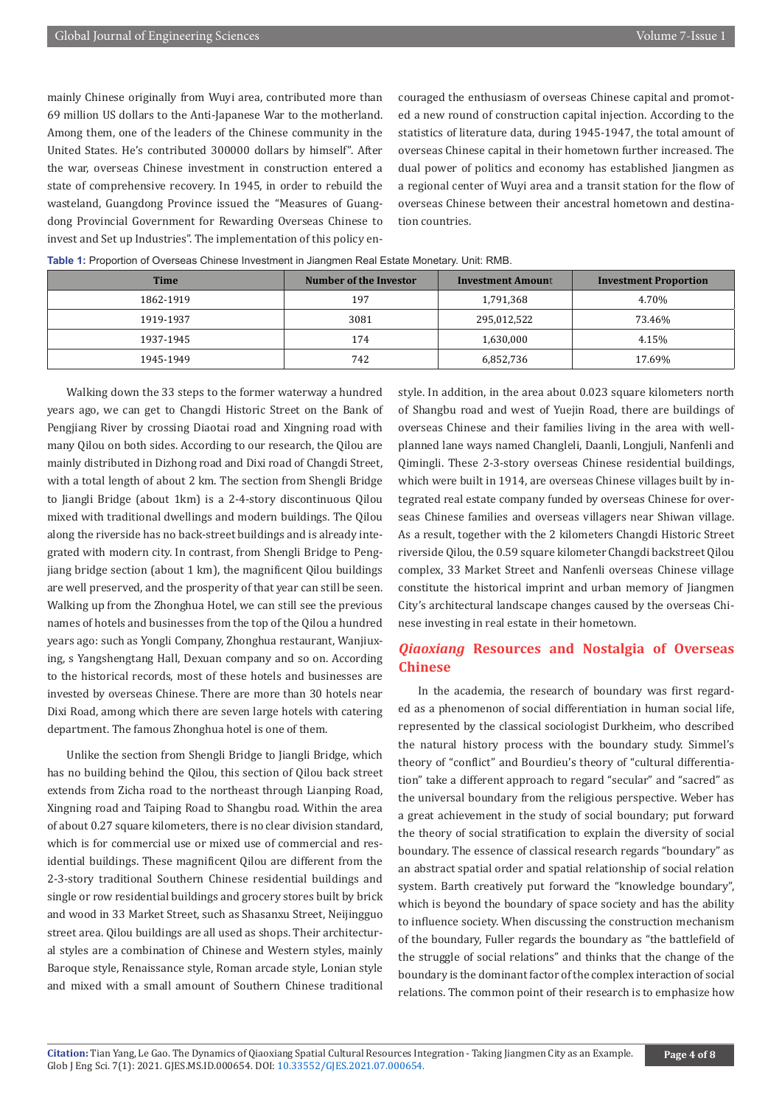mainly Chinese originally from Wuyi area, contributed more than 69 million US dollars to the Anti-Japanese War to the motherland. Among them, one of the leaders of the Chinese community in the United States. He's contributed 300000 dollars by himself". After the war, overseas Chinese investment in construction entered a state of comprehensive recovery. In 1945, in order to rebuild the wasteland, Guangdong Province issued the "Measures of Guangdong Provincial Government for Rewarding Overseas Chinese to invest and Set up Industries". The implementation of this policy encouraged the enthusiasm of overseas Chinese capital and promoted a new round of construction capital injection. According to the statistics of literature data, during 1945-1947, the total amount of overseas Chinese capital in their hometown further increased. The dual power of politics and economy has established Jiangmen as a regional center of Wuyi area and a transit station for the flow of overseas Chinese between their ancestral hometown and destination countries.

|             | ັ                      |                          |                              |
|-------------|------------------------|--------------------------|------------------------------|
| <b>Time</b> | Number of the Investor | <b>Investment Amount</b> | <b>Investment Proportion</b> |
| 1862-1919   | 197                    | 1,791,368                | 4.70%                        |
| 1919-1937   | 3081                   | 295,012,522              | 73.46%                       |
| 1937-1945   | 174                    | 1,630,000                | 4.15%                        |
| 1945-1949   | 742                    | 6,852,736                | 17.69%                       |

**Table 1:** Proportion of Overseas Chinese Investment in Jiangmen Real Estate Monetary. Unit: RMB.

Walking down the 33 steps to the former waterway a hundred years ago, we can get to Changdi Historic Street on the Bank of Pengjiang River by crossing Diaotai road and Xingning road with many Qilou on both sides. According to our research, the Qilou are mainly distributed in Dizhong road and Dixi road of Changdi Street, with a total length of about 2 km. The section from Shengli Bridge to Jiangli Bridge (about 1km) is a 2-4-story discontinuous Qilou mixed with traditional dwellings and modern buildings. The Qilou along the riverside has no back-street buildings and is already integrated with modern city. In contrast, from Shengli Bridge to Pengjiang bridge section (about 1 km), the magnificent Qilou buildings are well preserved, and the prosperity of that year can still be seen. Walking up from the Zhonghua Hotel, we can still see the previous names of hotels and businesses from the top of the Qilou a hundred years ago: such as Yongli Company, Zhonghua restaurant, Wanjiuxing, s Yangshengtang Hall, Dexuan company and so on. According to the historical records, most of these hotels and businesses are invested by overseas Chinese. There are more than 30 hotels near Dixi Road, among which there are seven large hotels with catering department. The famous Zhonghua hotel is one of them.

Unlike the section from Shengli Bridge to Jiangli Bridge, which has no building behind the Qilou, this section of Qilou back street extends from Zicha road to the northeast through Lianping Road, Xingning road and Taiping Road to Shangbu road. Within the area of about 0.27 square kilometers, there is no clear division standard, which is for commercial use or mixed use of commercial and residential buildings. These magnificent Qilou are different from the 2-3-story traditional Southern Chinese residential buildings and single or row residential buildings and grocery stores built by brick and wood in 33 Market Street, such as Shasanxu Street, Neijingguo street area. Qilou buildings are all used as shops. Their architectural styles are a combination of Chinese and Western styles, mainly Baroque style, Renaissance style, Roman arcade style, Lonian style and mixed with a small amount of Southern Chinese traditional

style. In addition, in the area about 0.023 square kilometers north of Shangbu road and west of Yuejin Road, there are buildings of overseas Chinese and their families living in the area with wellplanned lane ways named Changleli, Daanli, Longjuli, Nanfenli and Qimingli. These 2-3-story overseas Chinese residential buildings, which were built in 1914, are overseas Chinese villages built by integrated real estate company funded by overseas Chinese for overseas Chinese families and overseas villagers near Shiwan village. As a result, together with the 2 kilometers Changdi Historic Street riverside Qilou, the 0.59 square kilometer Changdi backstreet Qilou complex, 33 Market Street and Nanfenli overseas Chinese village constitute the historical imprint and urban memory of Jiangmen City's architectural landscape changes caused by the overseas Chinese investing in real estate in their hometown.

# *Qiaoxiang* **Resources and Nostalgia of Overseas Chinese**

In the academia, the research of boundary was first regarded as a phenomenon of social differentiation in human social life, represented by the classical sociologist Durkheim, who described the natural history process with the boundary study. Simmel's theory of "conflict" and Bourdieu's theory of "cultural differentiation" take a different approach to regard "secular" and "sacred" as the universal boundary from the religious perspective. Weber has a great achievement in the study of social boundary; put forward the theory of social stratification to explain the diversity of social boundary. The essence of classical research regards "boundary" as an abstract spatial order and spatial relationship of social relation system. Barth creatively put forward the "knowledge boundary", which is beyond the boundary of space society and has the ability to influence society. When discussing the construction mechanism of the boundary, Fuller regards the boundary as "the battlefield of the struggle of social relations" and thinks that the change of the boundary is the dominant factor of the complex interaction of social relations. The common point of their research is to emphasize how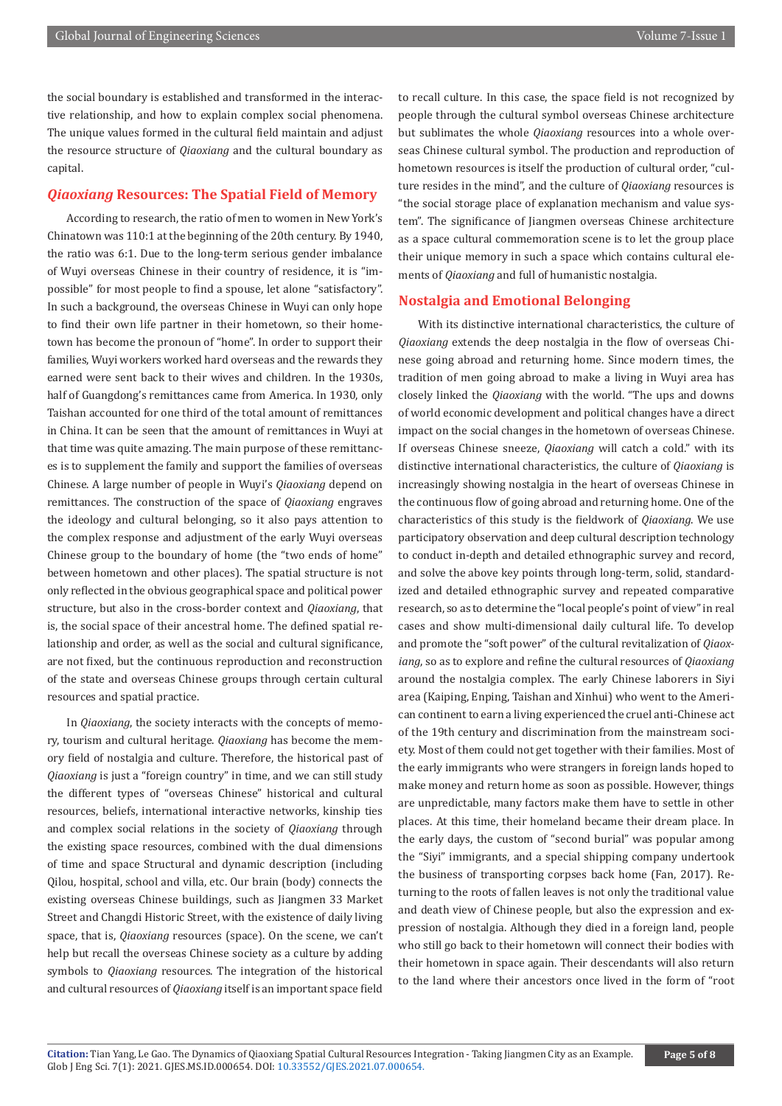the social boundary is established and transformed in the interactive relationship, and how to explain complex social phenomena. The unique values formed in the cultural field maintain and adjust the resource structure of *Qiaoxiang* and the cultural boundary as capital.

# *Qiaoxiang* **Resources: The Spatial Field of Memory**

According to research, the ratio of men to women in New York's Chinatown was 110:1 at the beginning of the 20th century. By 1940, the ratio was 6:1. Due to the long-term serious gender imbalance of Wuyi overseas Chinese in their country of residence, it is "impossible" for most people to find a spouse, let alone "satisfactory". In such a background, the overseas Chinese in Wuyi can only hope to find their own life partner in their hometown, so their hometown has become the pronoun of "home". In order to support their families, Wuyi workers worked hard overseas and the rewards they earned were sent back to their wives and children. In the 1930s, half of Guangdong's remittances came from America. In 1930, only Taishan accounted for one third of the total amount of remittances in China. It can be seen that the amount of remittances in Wuyi at that time was quite amazing. The main purpose of these remittances is to supplement the family and support the families of overseas Chinese. A large number of people in Wuyi's *Qiaoxiang* depend on remittances. The construction of the space of *Qiaoxiang* engraves the ideology and cultural belonging, so it also pays attention to the complex response and adjustment of the early Wuyi overseas Chinese group to the boundary of home (the "two ends of home" between hometown and other places). The spatial structure is not only reflected in the obvious geographical space and political power structure, but also in the cross-border context and *Qiaoxiang*, that is, the social space of their ancestral home. The defined spatial relationship and order, as well as the social and cultural significance, are not fixed, but the continuous reproduction and reconstruction of the state and overseas Chinese groups through certain cultural resources and spatial practice.

In *Qiaoxiang*, the society interacts with the concepts of memory, tourism and cultural heritage. *Qiaoxiang* has become the memory field of nostalgia and culture. Therefore, the historical past of *Qiaoxiang* is just a "foreign country" in time, and we can still study the different types of "overseas Chinese" historical and cultural resources, beliefs, international interactive networks, kinship ties and complex social relations in the society of *Qiaoxiang* through the existing space resources, combined with the dual dimensions of time and space Structural and dynamic description (including Qilou, hospital, school and villa, etc. Our brain (body) connects the existing overseas Chinese buildings, such as Jiangmen 33 Market Street and Changdi Historic Street, with the existence of daily living space, that is, *Qiaoxiang* resources (space). On the scene, we can't help but recall the overseas Chinese society as a culture by adding symbols to *Qiaoxiang* resources. The integration of the historical and cultural resources of *Qiaoxiang* itself is an important space field

to recall culture. In this case, the space field is not recognized by people through the cultural symbol overseas Chinese architecture but sublimates the whole *Qiaoxiang* resources into a whole overseas Chinese cultural symbol. The production and reproduction of hometown resources is itself the production of cultural order, "culture resides in the mind", and the culture of *Qiaoxiang* resources is "the social storage place of explanation mechanism and value system". The significance of Jiangmen overseas Chinese architecture as a space cultural commemoration scene is to let the group place their unique memory in such a space which contains cultural elements of *Qiaoxiang* and full of humanistic nostalgia.

### **Nostalgia and Emotional Belonging**

With its distinctive international characteristics, the culture of *Qiaoxiang* extends the deep nostalgia in the flow of overseas Chinese going abroad and returning home. Since modern times, the tradition of men going abroad to make a living in Wuyi area has closely linked the *Qiaoxiang* with the world. "The ups and downs of world economic development and political changes have a direct impact on the social changes in the hometown of overseas Chinese. If overseas Chinese sneeze, *Qiaoxiang* will catch a cold." with its distinctive international characteristics, the culture of *Qiaoxiang* is increasingly showing nostalgia in the heart of overseas Chinese in the continuous flow of going abroad and returning home. One of the characteristics of this study is the fieldwork of *Qiaoxiang*. We use participatory observation and deep cultural description technology to conduct in-depth and detailed ethnographic survey and record, and solve the above key points through long-term, solid, standardized and detailed ethnographic survey and repeated comparative research, so as to determine the "local people's point of view" in real cases and show multi-dimensional daily cultural life. To develop and promote the "soft power" of the cultural revitalization of *Qiaoxiang*, so as to explore and refine the cultural resources of *Qiaoxiang* around the nostalgia complex. The early Chinese laborers in Siyi area (Kaiping, Enping, Taishan and Xinhui) who went to the American continent to earn a living experienced the cruel anti-Chinese act of the 19th century and discrimination from the mainstream society. Most of them could not get together with their families. Most of the early immigrants who were strangers in foreign lands hoped to make money and return home as soon as possible. However, things are unpredictable, many factors make them have to settle in other places. At this time, their homeland became their dream place. In the early days, the custom of "second burial" was popular among the "Siyi" immigrants, and a special shipping company undertook the business of transporting corpses back home (Fan, 2017). Returning to the roots of fallen leaves is not only the traditional value and death view of Chinese people, but also the expression and expression of nostalgia. Although they died in a foreign land, people who still go back to their hometown will connect their bodies with their hometown in space again. Their descendants will also return to the land where their ancestors once lived in the form of "root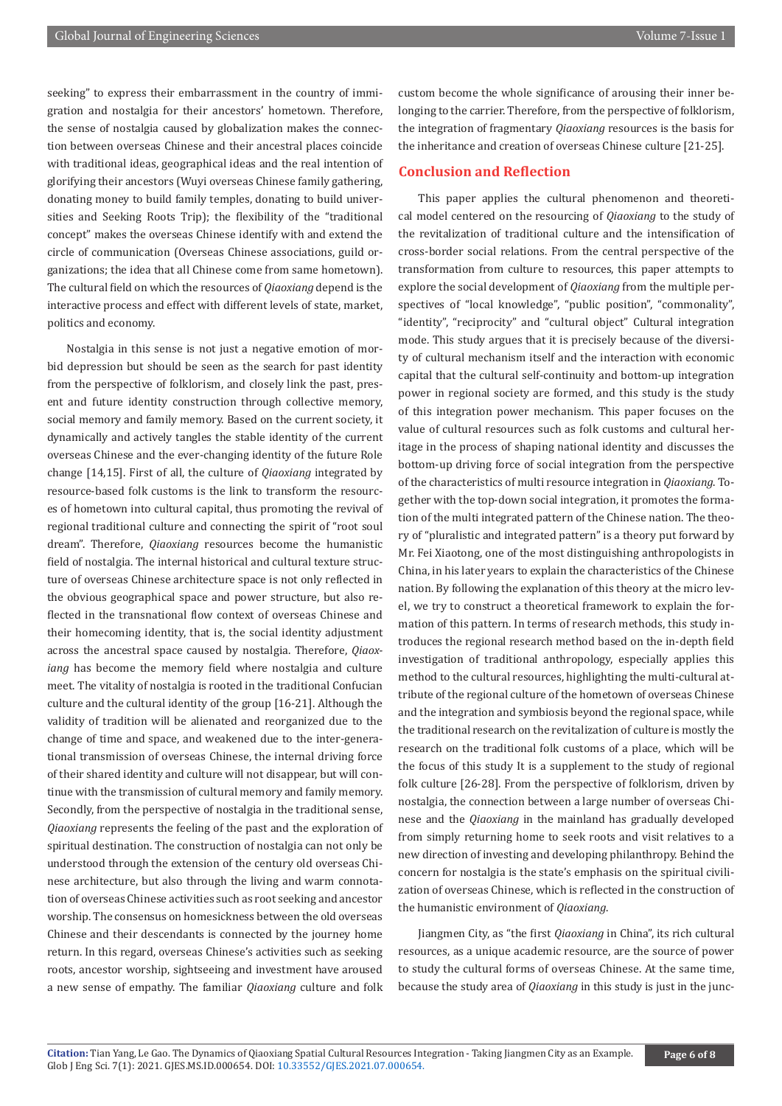seeking" to express their embarrassment in the country of immigration and nostalgia for their ancestors' hometown. Therefore, the sense of nostalgia caused by globalization makes the connection between overseas Chinese and their ancestral places coincide with traditional ideas, geographical ideas and the real intention of glorifying their ancestors (Wuyi overseas Chinese family gathering, donating money to build family temples, donating to build universities and Seeking Roots Trip); the flexibility of the "traditional concept" makes the overseas Chinese identify with and extend the circle of communication (Overseas Chinese associations, guild organizations; the idea that all Chinese come from same hometown). The cultural field on which the resources of *Qiaoxiang* depend is the interactive process and effect with different levels of state, market, politics and economy.

Nostalgia in this sense is not just a negative emotion of morbid depression but should be seen as the search for past identity from the perspective of folklorism, and closely link the past, present and future identity construction through collective memory, social memory and family memory. Based on the current society, it dynamically and actively tangles the stable identity of the current overseas Chinese and the ever-changing identity of the future Role change [14,15]. First of all, the culture of *Qiaoxiang* integrated by resource-based folk customs is the link to transform the resources of hometown into cultural capital, thus promoting the revival of regional traditional culture and connecting the spirit of "root soul dream". Therefore, *Qiaoxiang* resources become the humanistic field of nostalgia. The internal historical and cultural texture structure of overseas Chinese architecture space is not only reflected in the obvious geographical space and power structure, but also reflected in the transnational flow context of overseas Chinese and their homecoming identity, that is, the social identity adjustment across the ancestral space caused by nostalgia. Therefore, *Qiaoxiang* has become the memory field where nostalgia and culture meet. The vitality of nostalgia is rooted in the traditional Confucian culture and the cultural identity of the group [16-21]. Although the validity of tradition will be alienated and reorganized due to the change of time and space, and weakened due to the inter-generational transmission of overseas Chinese, the internal driving force of their shared identity and culture will not disappear, but will continue with the transmission of cultural memory and family memory. Secondly, from the perspective of nostalgia in the traditional sense, *Qiaoxiang* represents the feeling of the past and the exploration of spiritual destination. The construction of nostalgia can not only be understood through the extension of the century old overseas Chinese architecture, but also through the living and warm connotation of overseas Chinese activities such as root seeking and ancestor worship. The consensus on homesickness between the old overseas Chinese and their descendants is connected by the journey home return. In this regard, overseas Chinese's activities such as seeking roots, ancestor worship, sightseeing and investment have aroused a new sense of empathy. The familiar *Qiaoxiang* culture and folk custom become the whole significance of arousing their inner belonging to the carrier. Therefore, from the perspective of folklorism, the integration of fragmentary *Qiaoxiang* resources is the basis for the inheritance and creation of overseas Chinese culture [21-25].

# **Conclusion and Reflection**

This paper applies the cultural phenomenon and theoretical model centered on the resourcing of *Qiaoxiang* to the study of the revitalization of traditional culture and the intensification of cross-border social relations. From the central perspective of the transformation from culture to resources, this paper attempts to explore the social development of *Qiaoxiang* from the multiple perspectives of "local knowledge", "public position", "commonality", "identity", "reciprocity" and "cultural object" Cultural integration mode. This study argues that it is precisely because of the diversity of cultural mechanism itself and the interaction with economic capital that the cultural self-continuity and bottom-up integration power in regional society are formed, and this study is the study of this integration power mechanism. This paper focuses on the value of cultural resources such as folk customs and cultural heritage in the process of shaping national identity and discusses the bottom-up driving force of social integration from the perspective of the characteristics of multi resource integration in *Qiaoxiang*. Together with the top-down social integration, it promotes the formation of the multi integrated pattern of the Chinese nation. The theory of "pluralistic and integrated pattern" is a theory put forward by Mr. Fei Xiaotong, one of the most distinguishing anthropologists in China, in his later years to explain the characteristics of the Chinese nation. By following the explanation of this theory at the micro level, we try to construct a theoretical framework to explain the formation of this pattern. In terms of research methods, this study introduces the regional research method based on the in-depth field investigation of traditional anthropology, especially applies this method to the cultural resources, highlighting the multi-cultural attribute of the regional culture of the hometown of overseas Chinese and the integration and symbiosis beyond the regional space, while the traditional research on the revitalization of culture is mostly the research on the traditional folk customs of a place, which will be the focus of this study It is a supplement to the study of regional folk culture [26-28]. From the perspective of folklorism, driven by nostalgia, the connection between a large number of overseas Chinese and the *Qiaoxiang* in the mainland has gradually developed from simply returning home to seek roots and visit relatives to a new direction of investing and developing philanthropy. Behind the concern for nostalgia is the state's emphasis on the spiritual civilization of overseas Chinese, which is reflected in the construction of the humanistic environment of *Qiaoxiang*.

Jiangmen City, as "the first *Qiaoxiang* in China", its rich cultural resources, as a unique academic resource, are the source of power to study the cultural forms of overseas Chinese. At the same time, because the study area of *Qiaoxiang* in this study is just in the junc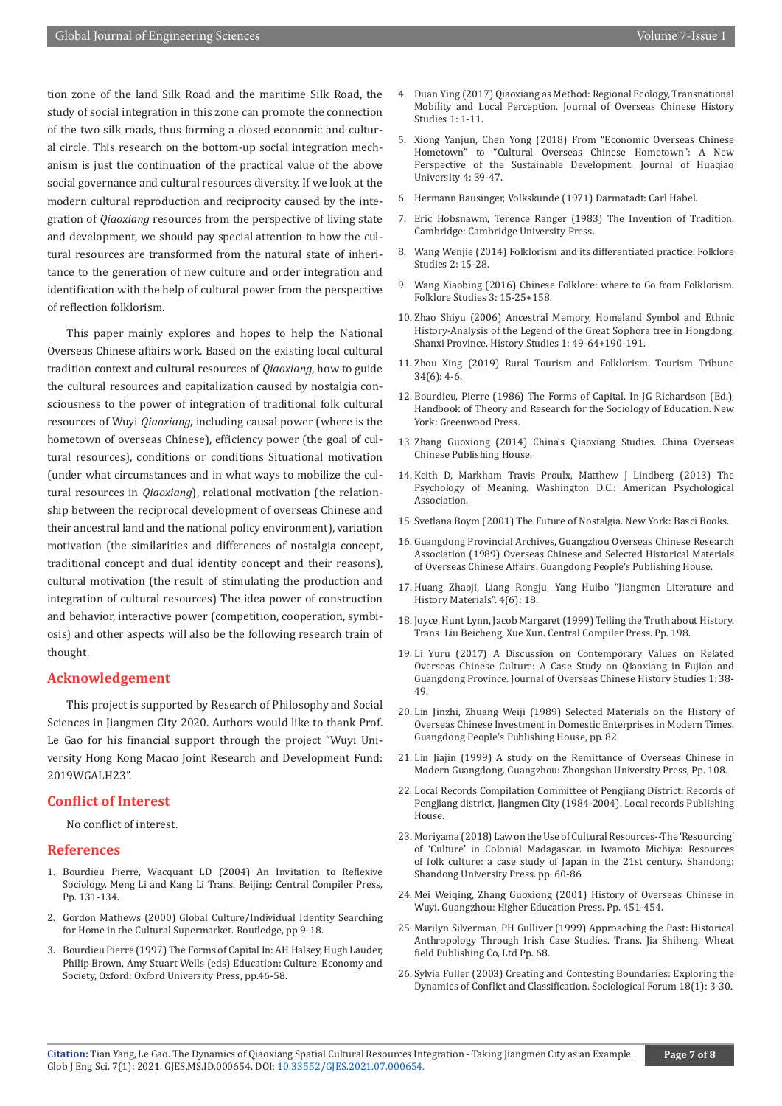tion zone of the land Silk Road and the maritime Silk Road, the study of social integration in this zone can promote the connection of the two silk roads, thus forming a closed economic and cultural circle. This research on the bottom-up social integration mechanism is just the continuation of the practical value of the above social governance and cultural resources diversity. If we look at the modern cultural reproduction and reciprocity caused by the integration of *Qiaoxiang* resources from the perspective of living state and development, we should pay special attention to how the cultural resources are transformed from the natural state of inheritance to the generation of new culture and order integration and identification with the help of cultural power from the perspective of reflection folklorism.

This paper mainly explores and hopes to help the National Overseas Chinese affairs work. Based on the existing local cultural tradition context and cultural resources of *Qiaoxiang*, how to guide the cultural resources and capitalization caused by nostalgia consciousness to the power of integration of traditional folk cultural resources of Wuyi *Qiaoxiang*, including causal power (where is the hometown of overseas Chinese), efficiency power (the goal of cultural resources), conditions or conditions Situational motivation (under what circumstances and in what ways to mobilize the cultural resources in *Qiaoxiang*), relational motivation (the relationship between the reciprocal development of overseas Chinese and their ancestral land and the national policy environment), variation motivation (the similarities and differences of nostalgia concept, traditional concept and dual identity concept and their reasons), cultural motivation (the result of stimulating the production and integration of cultural resources) The idea power of construction and behavior, interactive power (competition, cooperation, symbiosis) and other aspects will also be the following research train of thought.

# **Acknowledgement**

This project is supported by Research of Philosophy and Social Sciences in Jiangmen City 2020. Authors would like to thank Prof. Le Gao for his financial support through the project "Wuyi University Hong Kong Macao Joint Research and Development Fund: 2019WGALH23".

# **Conflict of Interest**

No conflict of interest.

## **References**

- 1. Bourdieu Pierre, Wacquant LD (2004) An Invitation to Reflexive Sociology. Meng Li and Kang Li Trans. Beijing: Central Compiler Press, Pp. 131-134.
- 2. Gordon Mathews (2000) Global Culture/Individual Identity Searching for Home in the Cultural Supermarket. Routledge, pp 9-18.
- 3. Bourdieu Pierre (1997) The Forms of Capital In: AH Halsey, Hugh Lauder, Philip Brown, Amy Stuart Wells (eds) Education: Culture, Economy and Society, Oxford: Oxford University Press, pp.46-58.
- 4. [Duan Ying \(2017\) Qiaoxiang as Method: Regional Ecology, Transnational](https://en.cnki.com.cn/Article_en/CJFDTotal-HQLY201701001.htm) [Mobility and Local Perception. Journal of Overseas Chinese History](https://en.cnki.com.cn/Article_en/CJFDTotal-HQLY201701001.htm) [Studies 1: 1-11.](https://en.cnki.com.cn/Article_en/CJFDTotal-HQLY201701001.htm)
- 5. [Xiong Yanjun, Chen Yong \(2018\) From "Economic Overseas Chinese](https://en.cnki.com.cn/Article_en/CJFDTotal-HQDX201804004.htm) [Hometown" to "Cultural Overseas Chinese Hometown": A New](https://en.cnki.com.cn/Article_en/CJFDTotal-HQDX201804004.htm) [Perspective of the Sustainable Development. Journal of Huaqiao](https://en.cnki.com.cn/Article_en/CJFDTotal-HQDX201804004.htm) [University 4: 39-47.](https://en.cnki.com.cn/Article_en/CJFDTotal-HQDX201804004.htm)
- 6. Hermann Bausinger, Volkskunde (1971) Darmatadt: Carl Habel.
- 7. Eric Hobsnawm, Terence Ranger (1983) The Invention of Tradition. Cambridge: Cambridge University Press.
- 8. Wang Wenjie (2014) Folklorism and its differentiated practice. Folklore Studies 2: 15-28.
- 9. Wang Xiaobing (2016) Chinese Folklore: where to Go from Folklorism. Folklore Studies 3: 15-25+158.
- 10. Zhao Shiyu (2006) Ancestral Memory, Homeland Symbol and Ethnic History-Analysis of the Legend of the Great Sophora tree in Hongdong, Shanxi Province. History Studies 1: 49-64+190-191.
- 11. Zhou Xing (2019) Rural Tourism and Folklorism. Tourism Tribune 34(6): 4-6.
- 12. Bourdieu, Pierre (1986) The Forms of Capital. In JG Richardson (Ed.), Handbook of Theory and Research for the Sociology of Education. New York: Greenwood Press.
- 13. Zhang Guoxiong (2014) China's Qiaoxiang Studies. China Overseas Chinese Publishing House.
- 14. Keith D, Markham Travis Proulx, Matthew J Lindberg (2013) The Psychology of Meaning. Washington D.C.: American Psychological Association.
- 15. Svetlana Boym (2001) The Future of Nostalgia. New York: Basci Books.
- 16. Guangdong Provincial Archives, Guangzhou Overseas Chinese Research Association (1989) Overseas Chinese and Selected Historical Materials of Overseas Chinese Affairs. Guangdong People's Publishing House.
- 17. Huang Zhaoji, Liang Rongju, Yang Huibo "Jiangmen Literature and History Materials". 4(6): 18.
- 18. Joyce, Hunt Lynn, Jacob Margaret (1999) Telling the Truth about History. Trans. Liu Beicheng, Xue Xun. Central Compiler Press. Pp. 198.
- 19. Li Yuru (2017) A Discussion on Contemporary Values on Related Overseas Chinese Culture: A Case Study on Qiaoxiang in Fujian and Guangdong Province. Journal of Overseas Chinese History Studies 1: 38- 49.
- 20. Lin Jinzhi, Zhuang Weiji (1989) Selected Materials on the History of Overseas Chinese Investment in Domestic Enterprises in Modern Times. Guangdong People's Publishing House, pp. 82.
- 21. Lin Jiajin (1999) A study on the Remittance of Overseas Chinese in Modern Guangdong. Guangzhou: Zhongshan University Press, Pp. 108.
- 22. Local Records Compilation Committee of Pengjiang District: Records of Pengjiang district, Jiangmen City (1984-2004). Local records Publishing House.
- 23. Moriyama (2018) Law on the Use of Cultural Resources--The 'Resourcing' of 'Culture' in Colonial Madagascar. in Iwamoto Michiya: Resources of folk culture: a case study of Japan in the 21st century. Shandong: Shandong University Press. pp. 60-86.
- 24. Mei Weiqing, Zhang Guoxiong (2001) History of Overseas Chinese in Wuyi. Guangzhou: Higher Education Press. Pp. 451-454.
- 25. Marilyn Silverman, PH Gulliver (1999) Approaching the Past: Historical Anthropology Through Irish Case Studies. Trans. Jia Shiheng. Wheat field Publishing Co, Ltd Pp. 68.
- 26. [Sylvia Fuller \(2003\) Creating and Contesting Boundaries: Exploring the](https://link.springer.com/article/10.1023/A:1022698511053) [Dynamics of Conflict and Classification. Sociological Forum 18\(1\): 3-30.](https://link.springer.com/article/10.1023/A:1022698511053)